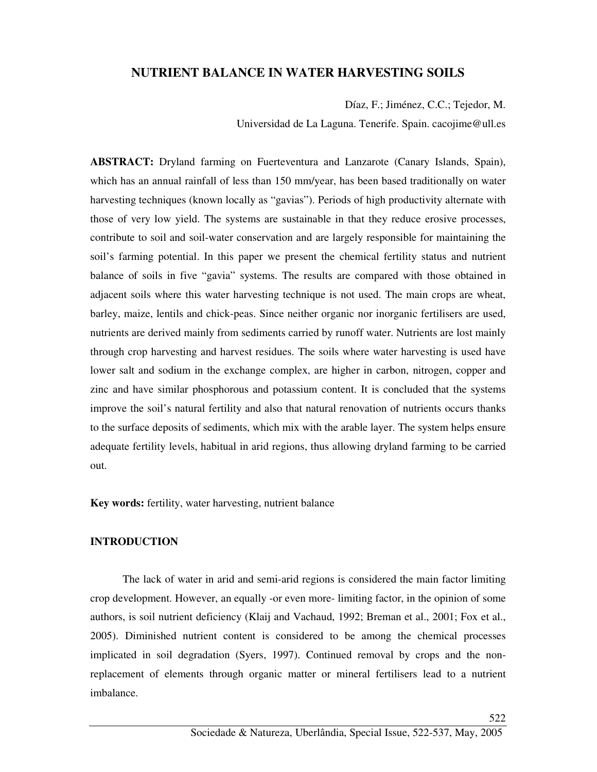# **NUTRIENT BALANCE IN WATER HARVESTING SOILS**

Díaz, F.; Jiménez, C.C.; Tejedor, M.

Universidad de La Laguna. Tenerife. Spain. cacojime@ull.es

**ABSTRACT:** Dryland farming on Fuerteventura and Lanzarote (Canary Islands, Spain), which has an annual rainfall of less than 150 mm/year, has been based traditionally on water harvesting techniques (known locally as "gavias"). Periods of high productivity alternate with those of very low yield. The systems are sustainable in that they reduce erosive processes, contribute to soil and soil-water conservation and are largely responsible for maintaining the soil's farming potential. In this paper we present the chemical fertility status and nutrient balance of soils in five "gavia" systems. The results are compared with those obtained in adjacent soils where this water harvesting technique is not used. The main crops are wheat, barley, maize, lentils and chick-peas. Since neither organic nor inorganic fertilisers are used, nutrients are derived mainly from sediments carried by runoff water. Nutrients are lost mainly through crop harvesting and harvest residues. The soils where water harvesting is used have lower salt and sodium in the exchange complex, are higher in carbon, nitrogen, copper and zinc and have similar phosphorous and potassium content. It is concluded that the systems improve the soil's natural fertility and also that natural renovation of nutrients occurs thanks to the surface deposits of sediments, which mix with the arable layer. The system helps ensure adequate fertility levels, habitual in arid regions, thus allowing dryland farming to be carried out.

**Key words:** fertility, water harvesting, nutrient balance

## **INTRODUCTION**

The lack of water in arid and semi-arid regions is considered the main factor limiting crop development. However, an equally -or even more- limiting factor, in the opinion of some authors, is soil nutrient deficiency (Klaij and Vachaud, 1992; Breman et al., 2001; Fox et al., 2005). Diminished nutrient content is considered to be among the chemical processes implicated in soil degradation (Syers, 1997). Continued removal by crops and the nonreplacement of elements through organic matter or mineral fertilisers lead to a nutrient imbalance.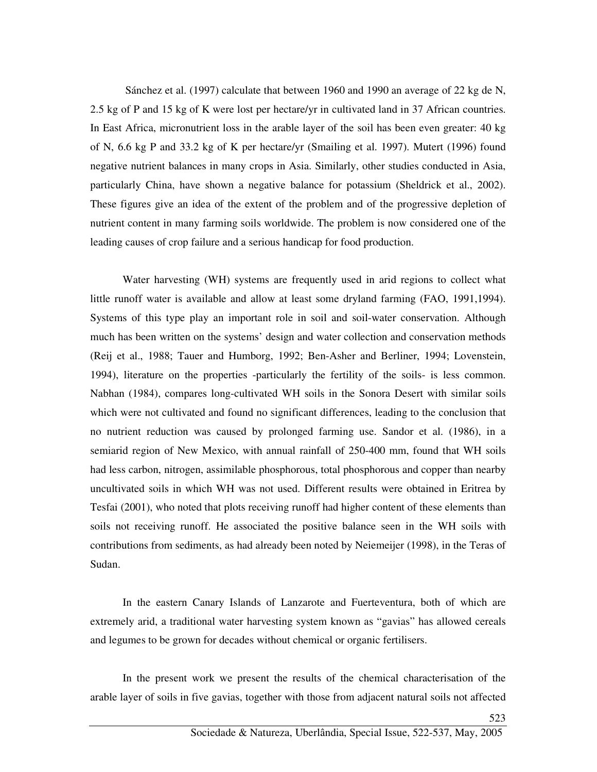Sánchez et al. (1997) calculate that between 1960 and 1990 an average of 22 kg de N, 2.5 kg of P and 15 kg of K were lost per hectare/yr in cultivated land in 37 African countries. In East Africa, micronutrient loss in the arable layer of the soil has been even greater: 40 kg of N, 6.6 kg P and 33.2 kg of K per hectare/yr (Smailing et al. 1997). Mutert (1996) found negative nutrient balances in many crops in Asia. Similarly, other studies conducted in Asia, particularly China, have shown a negative balance for potassium (Sheldrick et al., 2002). These figures give an idea of the extent of the problem and of the progressive depletion of nutrient content in many farming soils worldwide. The problem is now considered one of the leading causes of crop failure and a serious handicap for food production.

Water harvesting (WH) systems are frequently used in arid regions to collect what little runoff water is available and allow at least some dryland farming (FAO, 1991,1994). Systems of this type play an important role in soil and soil-water conservation. Although much has been written on the systems' design and water collection and conservation methods (Reij et al., 1988; Tauer and Humborg, 1992; Ben-Asher and Berliner, 1994; Lovenstein, 1994), literature on the properties -particularly the fertility of the soils- is less common. Nabhan (1984), compares long-cultivated WH soils in the Sonora Desert with similar soils which were not cultivated and found no significant differences, leading to the conclusion that no nutrient reduction was caused by prolonged farming use. Sandor et al. (1986), in a semiarid region of New Mexico, with annual rainfall of 250-400 mm, found that WH soils had less carbon, nitrogen, assimilable phosphorous, total phosphorous and copper than nearby uncultivated soils in which WH was not used. Different results were obtained in Eritrea by Tesfai (2001), who noted that plots receiving runoff had higher content of these elements than soils not receiving runoff. He associated the positive balance seen in the WH soils with contributions from sediments, as had already been noted by Neiemeijer (1998), in the Teras of Sudan.

In the eastern Canary Islands of Lanzarote and Fuerteventura, both of which are extremely arid, a traditional water harvesting system known as "gavias" has allowed cereals and legumes to be grown for decades without chemical or organic fertilisers.

In the present work we present the results of the chemical characterisation of the arable layer of soils in five gavias, together with those from adjacent natural soils not affected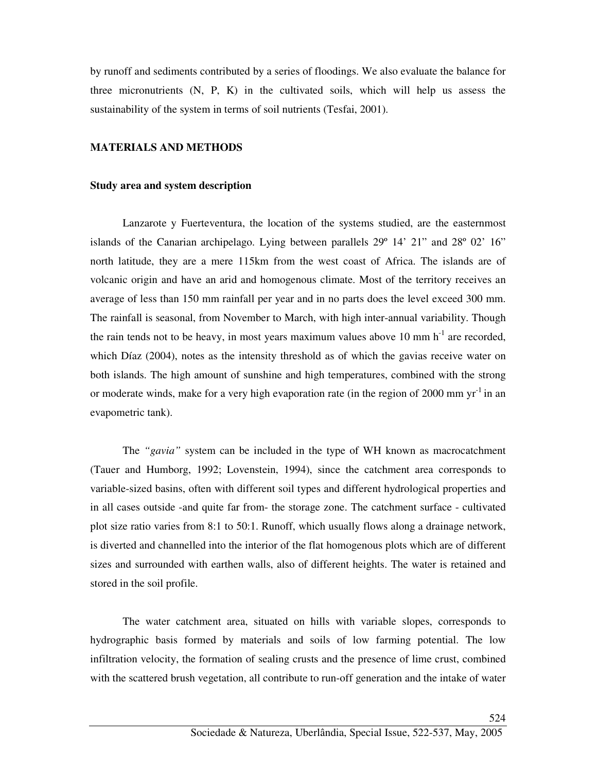by runoff and sediments contributed by a series of floodings. We also evaluate the balance for three micronutrients (N, P, K) in the cultivated soils, which will help us assess the sustainability of the system in terms of soil nutrients (Tesfai, 2001).

## **MATERIALS AND METHODS**

### **Study area and system description**

Lanzarote y Fuerteventura, the location of the systems studied, are the easternmost islands of the Canarian archipelago. Lying between parallels 29º 14' 21" and 28º 02' 16" north latitude, they are a mere 115km from the west coast of Africa. The islands are of volcanic origin and have an arid and homogenous climate. Most of the territory receives an average of less than 150 mm rainfall per year and in no parts does the level exceed 300 mm. The rainfall is seasonal, from November to March, with high inter-annual variability. Though the rain tends not to be heavy, in most years maximum values above 10 mm  $h^{-1}$  are recorded, which Díaz (2004), notes as the intensity threshold as of which the gavias receive water on both islands. The high amount of sunshine and high temperatures, combined with the strong or moderate winds, make for a very high evaporation rate (in the region of 2000 mm  $vr^{-1}$  in an evapometric tank).

The *"gavia"* system can be included in the type of WH known as macrocatchment (Tauer and Humborg, 1992; Lovenstein, 1994), since the catchment area corresponds to variable-sized basins, often with different soil types and different hydrological properties and in all cases outside -and quite far from- the storage zone. The catchment surface - cultivated plot size ratio varies from 8:1 to 50:1. Runoff, which usually flows along a drainage network, is diverted and channelled into the interior of the flat homogenous plots which are of different sizes and surrounded with earthen walls, also of different heights. The water is retained and stored in the soil profile.

The water catchment area, situated on hills with variable slopes, corresponds to hydrographic basis formed by materials and soils of low farming potential. The low infiltration velocity, the formation of sealing crusts and the presence of lime crust, combined with the scattered brush vegetation, all contribute to run-off generation and the intake of water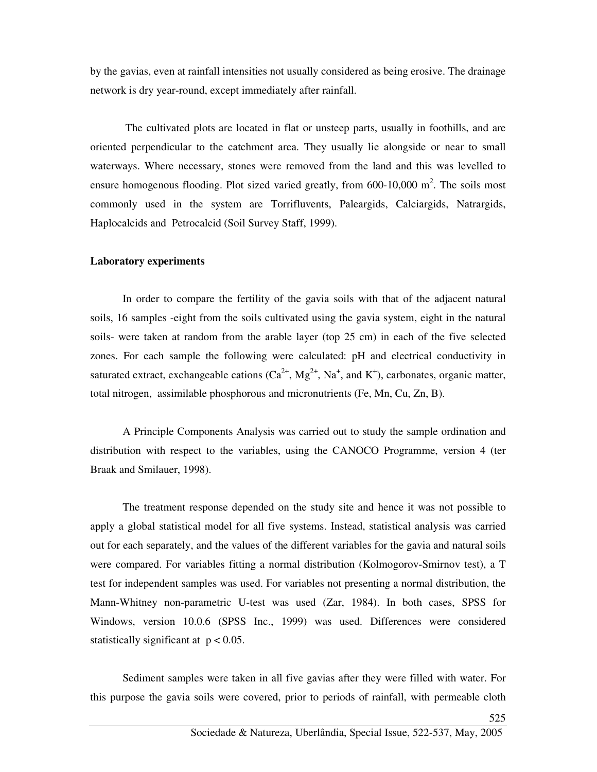by the gavias, even at rainfall intensities not usually considered as being erosive. The drainage network is dry year-round, except immediately after rainfall.

 The cultivated plots are located in flat or unsteep parts, usually in foothills, and are oriented perpendicular to the catchment area. They usually lie alongside or near to small waterways. Where necessary, stones were removed from the land and this was levelled to ensure homogenous flooding. Plot sized varied greatly, from  $600-10,000$  m<sup>2</sup>. The soils most commonly used in the system are Torrifluvents, Paleargids, Calciargids, Natrargids, Haplocalcids and Petrocalcid (Soil Survey Staff, 1999).

### **Laboratory experiments**

In order to compare the fertility of the gavia soils with that of the adjacent natural soils, 16 samples -eight from the soils cultivated using the gavia system, eight in the natural soils- were taken at random from the arable layer (top 25 cm) in each of the five selected zones. For each sample the following were calculated: pH and electrical conductivity in saturated extract, exchangeable cations  $(Ca^{2+}, Mg^{2+}, Na^+, and K^+)$ , carbonates, organic matter, total nitrogen, assimilable phosphorous and micronutrients (Fe, Mn, Cu, Zn, B).

A Principle Components Analysis was carried out to study the sample ordination and distribution with respect to the variables, using the CANOCO Programme, version 4 (ter Braak and Smilauer, 1998).

The treatment response depended on the study site and hence it was not possible to apply a global statistical model for all five systems. Instead, statistical analysis was carried out for each separately, and the values of the different variables for the gavia and natural soils were compared. For variables fitting a normal distribution (Kolmogorov-Smirnov test), a T test for independent samples was used. For variables not presenting a normal distribution, the Mann-Whitney non-parametric U-test was used (Zar, 1984). In both cases, SPSS for Windows, version 10.0.6 (SPSS Inc., 1999) was used. Differences were considered statistically significant at  $p < 0.05$ .

Sediment samples were taken in all five gavias after they were filled with water. For this purpose the gavia soils were covered, prior to periods of rainfall, with permeable cloth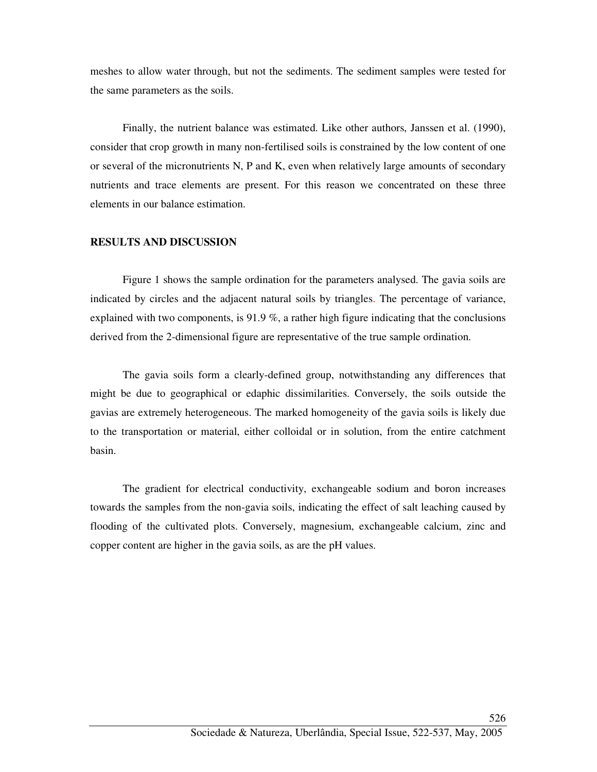meshes to allow water through, but not the sediments. The sediment samples were tested for the same parameters as the soils.

Finally, the nutrient balance was estimated. Like other authors, Janssen et al. (1990), consider that crop growth in many non-fertilised soils is constrained by the low content of one or several of the micronutrients N, P and K, even when relatively large amounts of secondary nutrients and trace elements are present. For this reason we concentrated on these three elements in our balance estimation.

### **RESULTS AND DISCUSSION**

Figure 1 shows the sample ordination for the parameters analysed. The gavia soils are indicated by circles and the adjacent natural soils by triangles. The percentage of variance, explained with two components, is 91.9 %, a rather high figure indicating that the conclusions derived from the 2-dimensional figure are representative of the true sample ordination.

The gavia soils form a clearly-defined group, notwithstanding any differences that might be due to geographical or edaphic dissimilarities. Conversely, the soils outside the gavias are extremely heterogeneous. The marked homogeneity of the gavia soils is likely due to the transportation or material, either colloidal or in solution, from the entire catchment basin.

The gradient for electrical conductivity, exchangeable sodium and boron increases towards the samples from the non-gavia soils, indicating the effect of salt leaching caused by flooding of the cultivated plots. Conversely, magnesium, exchangeable calcium, zinc and copper content are higher in the gavia soils, as are the pH values.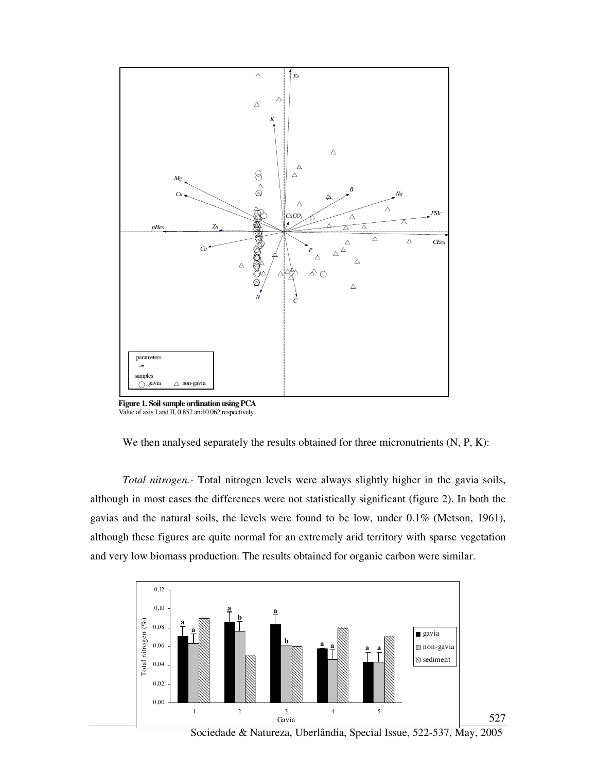

 **Figure 1. Soil sample ordination using PCA**  Value of axis I and II, 0.857 and 0.062 respectively



*Total nitrogen.-* Total nitrogen levels were always slightly higher in the gavia soils, although in most cases the differences were not statistically significant (figure 2). In both the gavias and the natural soils, the levels were found to be low, under 0.1% (Metson, 1961), although these figures are quite normal for an extremely arid territory with sparse vegetation and very low biomass production. The results obtained for organic carbon were similar.



Sociedade & Natureza, Uberlândia, Special Issue, 522-537, May, 2005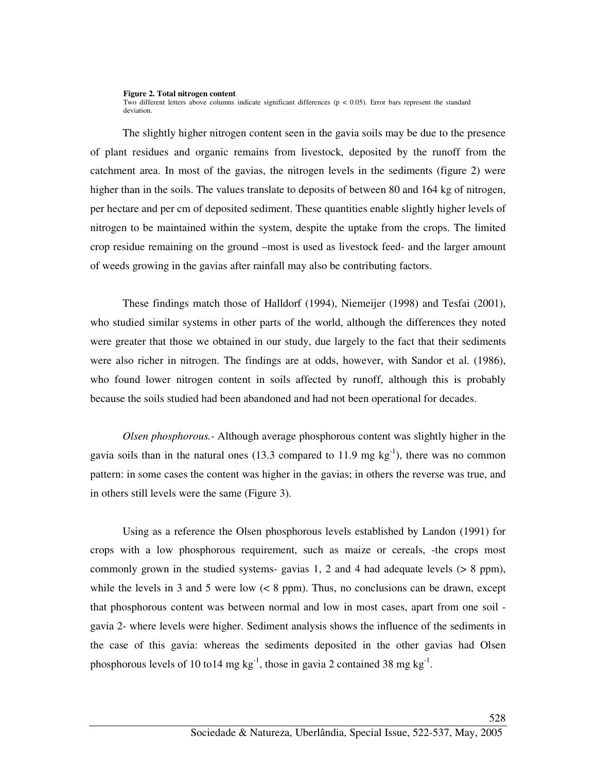#### **Figure 2. Total nitrogen content**

Two different letters above columns indicate significant differences ( $p < 0.05$ ). Error bars represent the standard deviation.

The slightly higher nitrogen content seen in the gavia soils may be due to the presence of plant residues and organic remains from livestock, deposited by the runoff from the catchment area. In most of the gavias, the nitrogen levels in the sediments (figure 2) were higher than in the soils. The values translate to deposits of between 80 and 164 kg of nitrogen, per hectare and per cm of deposited sediment. These quantities enable slightly higher levels of nitrogen to be maintained within the system, despite the uptake from the crops. The limited crop residue remaining on the ground –most is used as livestock feed- and the larger amount of weeds growing in the gavias after rainfall may also be contributing factors.

These findings match those of Halldorf (1994), Niemeijer (1998) and Tesfai (2001), who studied similar systems in other parts of the world, although the differences they noted were greater that those we obtained in our study, due largely to the fact that their sediments were also richer in nitrogen. The findings are at odds, however, with Sandor et al. (1986), who found lower nitrogen content in soils affected by runoff, although this is probably because the soils studied had been abandoned and had not been operational for decades.

*Olsen phosphorous.-* Although average phosphorous content was slightly higher in the gavia soils than in the natural ones (13.3 compared to 11.9 mg  $kg^{-1}$ ), there was no common pattern: in some cases the content was higher in the gavias; in others the reverse was true, and in others still levels were the same (Figure 3).

Using as a reference the Olsen phosphorous levels established by Landon (1991) for crops with a low phosphorous requirement, such as maize or cereals, -the crops most commonly grown in the studied systems- gavias 1, 2 and 4 had adequate levels  $(> 8 \text{ ppm})$ , while the levels in 3 and 5 were low  $(< 8$  ppm). Thus, no conclusions can be drawn, except that phosphorous content was between normal and low in most cases, apart from one soil gavia 2- where levels were higher. Sediment analysis shows the influence of the sediments in the case of this gavia: whereas the sediments deposited in the other gavias had Olsen phosphorous levels of 10 to 14 mg  $kg^{-1}$ , those in gavia 2 contained 38 mg  $kg^{-1}$ .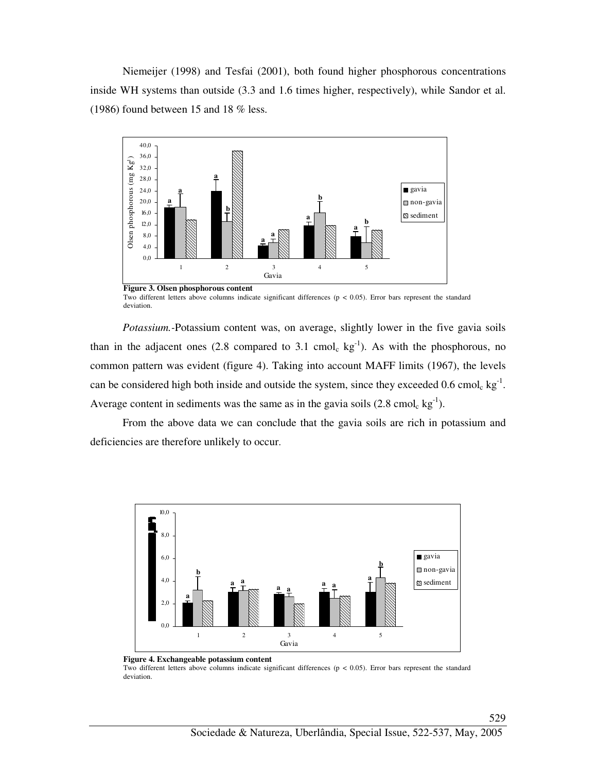Niemeijer (1998) and Tesfai (2001), both found higher phosphorous concentrations inside WH systems than outside (3.3 and 1.6 times higher, respectively), while Sandor et al. (1986) found between 15 and 18 % less.



Two different letters above columns indicate significant differences (p < 0.05). Error bars represent the standard deviation.

*Potassium.-*Potassium content was, on average, slightly lower in the five gavia soils than in the adjacent ones (2.8 compared to 3.1 cmol<sub>c</sub> kg<sup>-1</sup>). As with the phosphorous, no common pattern was evident (figure 4). Taking into account MAFF limits (1967), the levels can be considered high both inside and outside the system, since they exceeded  $0.6 \text{ cmol}_c \text{ kg}^{-1}$ . Average content in sediments was the same as in the gavia soils  $(2.8 \text{ cmol}_c \text{ kg}^{-1})$ .

From the above data we can conclude that the gavia soils are rich in potassium and deficiencies are therefore unlikely to occur.





Two different letters above columns indicate significant differences (p < 0.05). Error bars represent the standard deviation.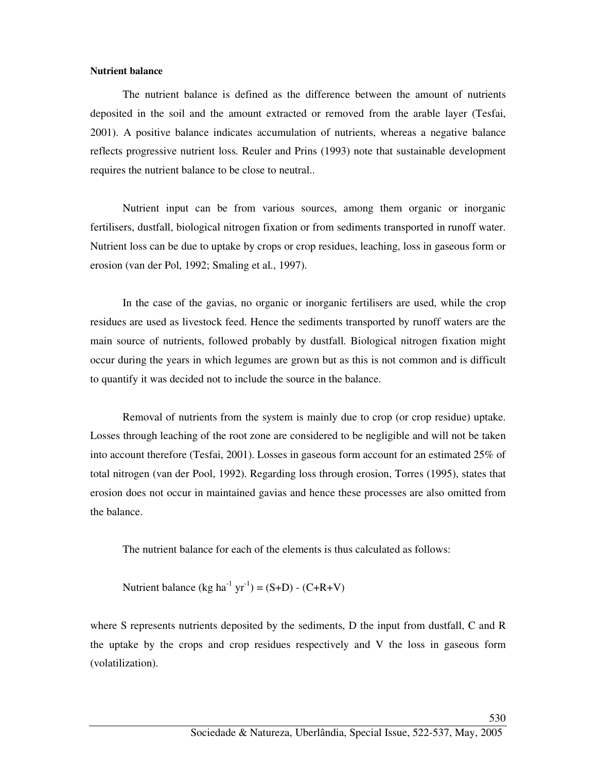### **Nutrient balance**

The nutrient balance is defined as the difference between the amount of nutrients deposited in the soil and the amount extracted or removed from the arable layer (Tesfai, 2001). A positive balance indicates accumulation of nutrients, whereas a negative balance reflects progressive nutrient loss. Reuler and Prins (1993) note that sustainable development requires the nutrient balance to be close to neutral..

 Nutrient input can be from various sources, among them organic or inorganic fertilisers, dustfall, biological nitrogen fixation or from sediments transported in runoff water. Nutrient loss can be due to uptake by crops or crop residues, leaching, loss in gaseous form or erosion (van der Pol, 1992; Smaling et al., 1997).

In the case of the gavias, no organic or inorganic fertilisers are used, while the crop residues are used as livestock feed. Hence the sediments transported by runoff waters are the main source of nutrients, followed probably by dustfall. Biological nitrogen fixation might occur during the years in which legumes are grown but as this is not common and is difficult to quantify it was decided not to include the source in the balance.

Removal of nutrients from the system is mainly due to crop (or crop residue) uptake. Losses through leaching of the root zone are considered to be negligible and will not be taken into account therefore (Tesfai, 2001). Losses in gaseous form account for an estimated 25% of total nitrogen (van der Pool, 1992). Regarding loss through erosion, Torres (1995), states that erosion does not occur in maintained gavias and hence these processes are also omitted from the balance.

The nutrient balance for each of the elements is thus calculated as follows:

Nutrient balance (kg ha<sup>-1</sup> yr<sup>-1</sup>) = (S+D) - (C+R+V)

where S represents nutrients deposited by the sediments, D the input from dustfall, C and R the uptake by the crops and crop residues respectively and V the loss in gaseous form (volatilization).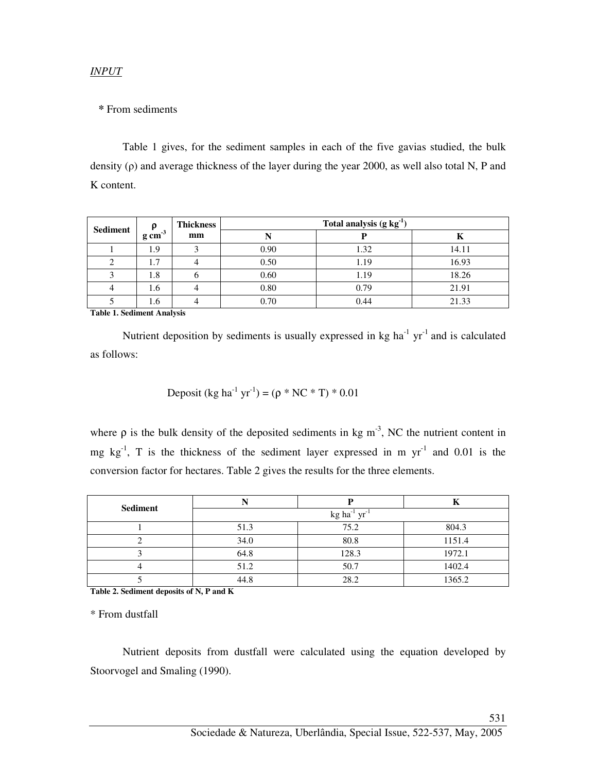*INPUT*

## **\*** From sediments

Table 1 gives, for the sediment samples in each of the five gavias studied, the bulk density (ρ) and average thickness of the layer during the year 2000, as well also total N, P and K content.

| <b>Sediment</b> | $g \, \text{cm}^{-3}$ | <b>Thickness</b> | Total analysis $(g kg-1)$ |      |       |  |
|-----------------|-----------------------|------------------|---------------------------|------|-------|--|
|                 |                       | mm               |                           |      | Κ     |  |
|                 | 1.9                   |                  | 0.90                      | 1.32 | 14.11 |  |
|                 | 1.7                   |                  | 0.50                      | 1.19 | 16.93 |  |
|                 | 1.8                   |                  | 0.60                      | 1.19 | 18.26 |  |
|                 | 1.6                   |                  | 0.80                      | 0.79 | 21.91 |  |
|                 | 1.6                   |                  | 0.70                      | 0.44 | 21.33 |  |

**Table 1. Sediment Analysis** 

Nutrient deposition by sediments is usually expressed in  $kg$  ha<sup>-1</sup> yr<sup>-1</sup> and is calculated as follows:

Deposit (kg ha<sup>-1</sup> yr<sup>-1</sup>) = ( $\rho$  \* NC \* T) \* 0.01

where  $\rho$  is the bulk density of the deposited sediments in kg m<sup>-3</sup>, NC the nutrient content in mg  $kg^{-1}$ , T is the thickness of the sediment layer expressed in m  $yr^{-1}$  and 0.01 is the conversion factor for hectares. Table 2 gives the results for the three elements.

| <b>Sediment</b> | $kg$ ha <sup>-1</sup> yr <sup>-1</sup> |       |        |  |  |  |
|-----------------|----------------------------------------|-------|--------|--|--|--|
|                 | 51.3                                   | 75.2  | 804.3  |  |  |  |
|                 | 34.0                                   | 80.8  | 1151.4 |  |  |  |
|                 | 64.8                                   | 128.3 | 1972.1 |  |  |  |
|                 | 51.2                                   | 50.7  | 1402.4 |  |  |  |
|                 | 44.8                                   | 28.2  | 1365.2 |  |  |  |

**Table 2. Sediment deposits of N, P and K** 

\* From dustfall

 Nutrient deposits from dustfall were calculated using the equation developed by Stoorvogel and Smaling (1990).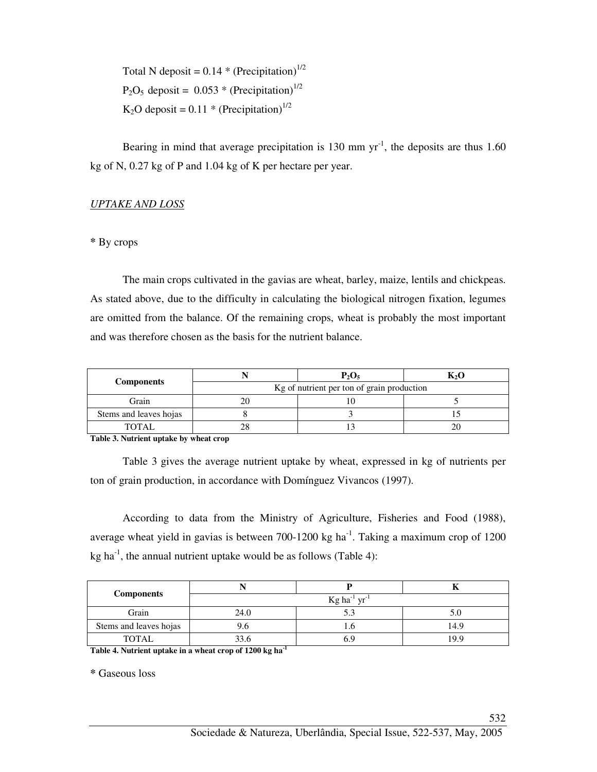Total N deposit =  $0.14 * (Precipitation)^{1/2}$  $P_2O_5$  deposit = 0.053 \* (Precipitation)<sup>1/2</sup> K<sub>2</sub>O deposit =  $0.11 * (Precription)^{1/2}$ 

Bearing in mind that average precipitation is 130 mm  $yr^{-1}$ , the deposits are thus 1.60 kg of N, 0.27 kg of P and 1.04 kg of K per hectare per year.

## *UPTAKE AND LOSS*

**\*** By crops

The main crops cultivated in the gavias are wheat, barley, maize, lentils and chickpeas. As stated above, due to the difficulty in calculating the biological nitrogen fixation, legumes are omitted from the balance. Of the remaining crops, wheat is probably the most important and was therefore chosen as the basis for the nutrient balance.

|                        |                                            | $P_2O_5$ |  |  |  |  |
|------------------------|--------------------------------------------|----------|--|--|--|--|
| <b>Components</b>      | Kg of nutrient per ton of grain production |          |  |  |  |  |
| Grain                  |                                            |          |  |  |  |  |
| Stems and leaves hojas |                                            |          |  |  |  |  |
| <b>TOTAL</b>           |                                            |          |  |  |  |  |

**Table 3. Nutrient uptake by wheat crop** 

Table 3 gives the average nutrient uptake by wheat, expressed in kg of nutrients per ton of grain production, in accordance with Domínguez Vivancos (1997).

According to data from the Ministry of Agriculture, Fisheries and Food (1988), average wheat yield in gavias is between  $700-1200$  kg ha<sup>-1</sup>. Taking a maximum crop of  $1200$ kg ha $^{-1}$ , the annual nutrient uptake would be as follows (Table 4):

| <b>Components</b>      | vr'<br>$Kg$ ha <sup>-1</sup> |     |      |  |  |  |
|------------------------|------------------------------|-----|------|--|--|--|
| Grain                  | 24.0                         | 5.3 |      |  |  |  |
| Stems and leaves hojas | 9.6                          | 1.C | 14.9 |  |  |  |
| <b>TOTAL</b>           | $\mathcal{L}$                | 6.9 | 199  |  |  |  |

**Table 4. Nutrient uptake in a wheat crop of 1200 kg ha-1** 

**\*** Gaseous loss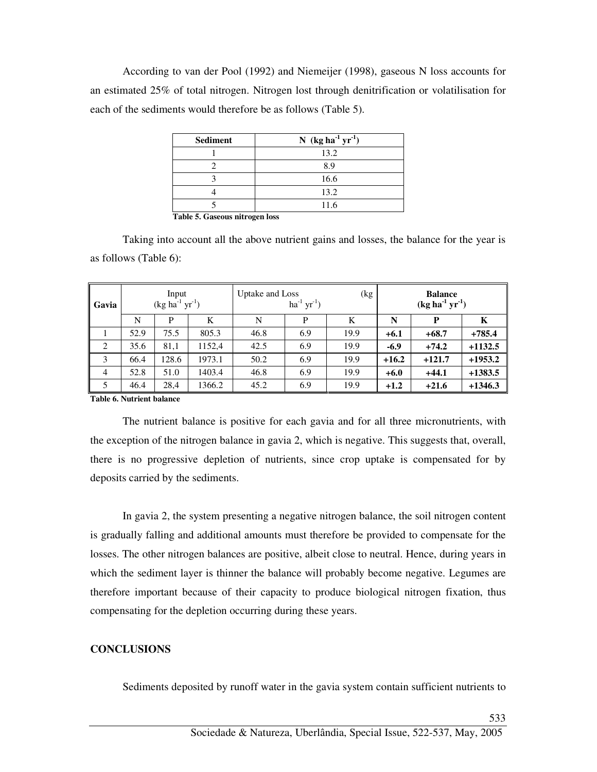According to van der Pool (1992) and Niemeijer (1998), gaseous N loss accounts for an estimated 25% of total nitrogen. Nitrogen lost through denitrification or volatilisation for each of the sediments would therefore be as follows (Table 5).

| <b>Sediment</b> | N (kg ha <sup>-1</sup> $yr^{-1}$ ) |
|-----------------|------------------------------------|
|                 | 13.2                               |
|                 | 8.9                                |
|                 | 16.6                               |
|                 | 13.2                               |
|                 | 11.6                               |

**Table 5. Gaseous nitrogen loss** 

Taking into account all the above nutrient gains and losses, the balance for the year is as follows (Table 6):

| Gavia          | Input<br>$(\text{kg ha}^{-1} \text{ yr}^{-1})$ |       |        | Uptake and Loss<br>(kg<br>$ha^{-1} yr^{-1}$ ) |     |      | <b>Balance</b><br>$(kg ha-1 yr-1)$ |          |           |
|----------------|------------------------------------------------|-------|--------|-----------------------------------------------|-----|------|------------------------------------|----------|-----------|
|                | N                                              | P     | K      | N                                             | P   | K    | N                                  | P        | К         |
|                | 52.9                                           | 75.5  | 805.3  | 46.8                                          | 6.9 | 19.9 | $+6.1$                             | $+68.7$  | $+785.4$  |
| 2              | 35.6                                           | 81,1  | 1152,4 | 42.5                                          | 6.9 | 19.9 | $-6.9$                             | $+74.2$  | $+1132.5$ |
| 3              | 66.4                                           | 128.6 | 1973.1 | 50.2                                          | 6.9 | 19.9 | $+16.2$                            | $+121.7$ | $+1953.2$ |
| $\overline{4}$ | 52.8                                           | 51.0  | 1403.4 | 46.8                                          | 6.9 | 19.9 | $+6.0$                             | $+44.1$  | $+1383.5$ |
| 5              | 46.4                                           | 28,4  | 1366.2 | 45.2                                          | 6.9 | 19.9 | $+1.2$                             | $+21.6$  | $+1346.3$ |

**Table 6. Nutrient balance** 

The nutrient balance is positive for each gavia and for all three micronutrients, with the exception of the nitrogen balance in gavia 2, which is negative. This suggests that, overall, there is no progressive depletion of nutrients, since crop uptake is compensated for by deposits carried by the sediments.

In gavia 2, the system presenting a negative nitrogen balance, the soil nitrogen content is gradually falling and additional amounts must therefore be provided to compensate for the losses. The other nitrogen balances are positive, albeit close to neutral. Hence, during years in which the sediment layer is thinner the balance will probably become negative. Legumes are therefore important because of their capacity to produce biological nitrogen fixation, thus compensating for the depletion occurring during these years.

# **CONCLUSIONS**

Sediments deposited by runoff water in the gavia system contain sufficient nutrients to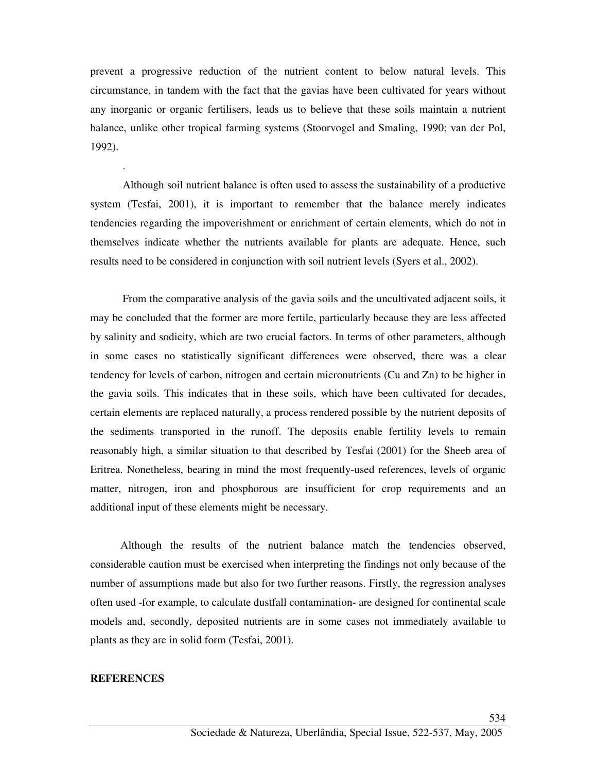prevent a progressive reduction of the nutrient content to below natural levels. This circumstance, in tandem with the fact that the gavias have been cultivated for years without any inorganic or organic fertilisers, leads us to believe that these soils maintain a nutrient balance, unlike other tropical farming systems (Stoorvogel and Smaling, 1990; van der Pol, 1992).

Although soil nutrient balance is often used to assess the sustainability of a productive system (Tesfai, 2001), it is important to remember that the balance merely indicates tendencies regarding the impoverishment or enrichment of certain elements, which do not in themselves indicate whether the nutrients available for plants are adequate. Hence, such results need to be considered in conjunction with soil nutrient levels (Syers et al., 2002).

From the comparative analysis of the gavia soils and the uncultivated adjacent soils, it may be concluded that the former are more fertile, particularly because they are less affected by salinity and sodicity, which are two crucial factors. In terms of other parameters, although in some cases no statistically significant differences were observed, there was a clear tendency for levels of carbon, nitrogen and certain micronutrients (Cu and Zn) to be higher in the gavia soils. This indicates that in these soils, which have been cultivated for decades, certain elements are replaced naturally, a process rendered possible by the nutrient deposits of the sediments transported in the runoff. The deposits enable fertility levels to remain reasonably high, a similar situation to that described by Tesfai (2001) for the Sheeb area of Eritrea. Nonetheless, bearing in mind the most frequently-used references, levels of organic matter, nitrogen, iron and phosphorous are insufficient for crop requirements and an additional input of these elements might be necessary.

 Although the results of the nutrient balance match the tendencies observed, considerable caution must be exercised when interpreting the findings not only because of the number of assumptions made but also for two further reasons. Firstly, the regression analyses often used -for example, to calculate dustfall contamination- are designed for continental scale models and, secondly, deposited nutrients are in some cases not immediately available to plants as they are in solid form (Tesfai, 2001).

### **REFERENCES**

.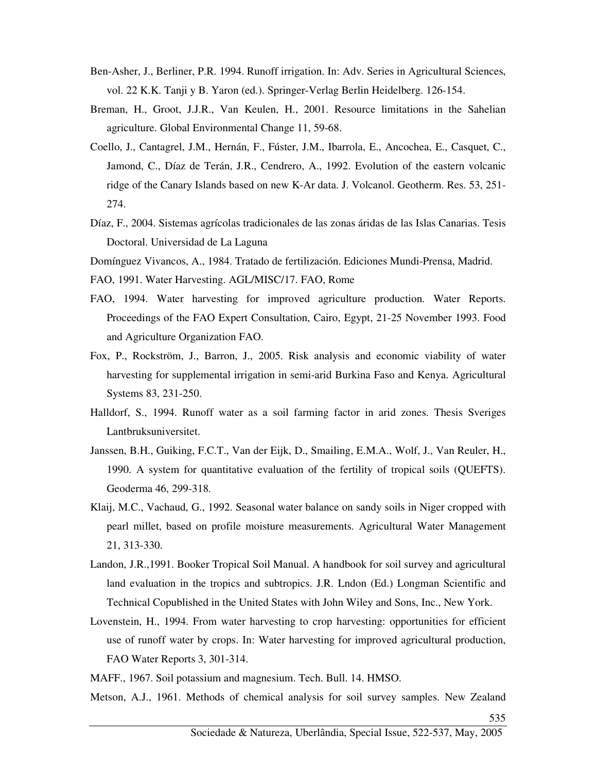- Ben-Asher, J., Berliner, P.R. 1994. Runoff irrigation. In: Adv. Series in Agricultural Sciences, vol. 22 K.K. Tanji y B. Yaron (ed.). Springer-Verlag Berlin Heidelberg. 126-154.
- Breman, H., Groot, J.J.R., Van Keulen, H., 2001. Resource limitations in the Sahelian agriculture. Global Environmental Change 11, 59-68.
- Coello, J., Cantagrel, J.M., Hernán, F., Fúster, J.M., Ibarrola, E., Ancochea, E., Casquet, C., Jamond, C., Díaz de Terán, J.R., Cendrero, A., 1992. Evolution of the eastern volcanic ridge of the Canary Islands based on new K-Ar data. J. Volcanol. Geotherm. Res. 53, 251- 274.
- Díaz, F., 2004. Sistemas agrícolas tradicionales de las zonas áridas de las Islas Canarias. Tesis Doctoral. Universidad de La Laguna

Domínguez Vivancos, A., 1984. Tratado de fertilización. Ediciones Mundi-Prensa, Madrid.

FAO, 1991. Water Harvesting. AGL/MISC/17. FAO, Rome

- FAO, 1994. Water harvesting for improved agriculture production. Water Reports. Proceedings of the FAO Expert Consultation, Cairo, Egypt, 21-25 November 1993. Food and Agriculture Organization FAO.
- Fox, P., Rockström, J., Barron, J., 2005. Risk analysis and economic viability of water harvesting for supplemental irrigation in semi-arid Burkina Faso and Kenya. Agricultural Systems 83, 231-250.
- Halldorf, S., 1994. Runoff water as a soil farming factor in arid zones. Thesis Sveriges Lantbruksuniversitet.
- Janssen, B.H., Guiking, F.C.T., Van der Eijk, D., Smailing, E.M.A., Wolf, J., Van Reuler, H., 1990. A system for quantitative evaluation of the fertility of tropical soils (QUEFTS). Geoderma 46, 299-318.
- Klaij, M.C., Vachaud, G., 1992. Seasonal water balance on sandy soils in Niger cropped with pearl millet, based on profile moisture measurements. Agricultural Water Management 21, 313-330.
- Landon, J.R.,1991. Booker Tropical Soil Manual. A handbook for soil survey and agricultural land evaluation in the tropics and subtropics. J.R. Lndon (Ed.) Longman Scientific and Technical Copublished in the United States with John Wiley and Sons, Inc., New York.
- Lovenstein, H., 1994. From water harvesting to crop harvesting: opportunities for efficient use of runoff water by crops. In: Water harvesting for improved agricultural production, FAO Water Reports 3, 301-314.
- MAFF., 1967. Soil potassium and magnesium. Tech. Bull. 14. HMSO.

Metson, A.J., 1961. Methods of chemical analysis for soil survey samples. New Zealand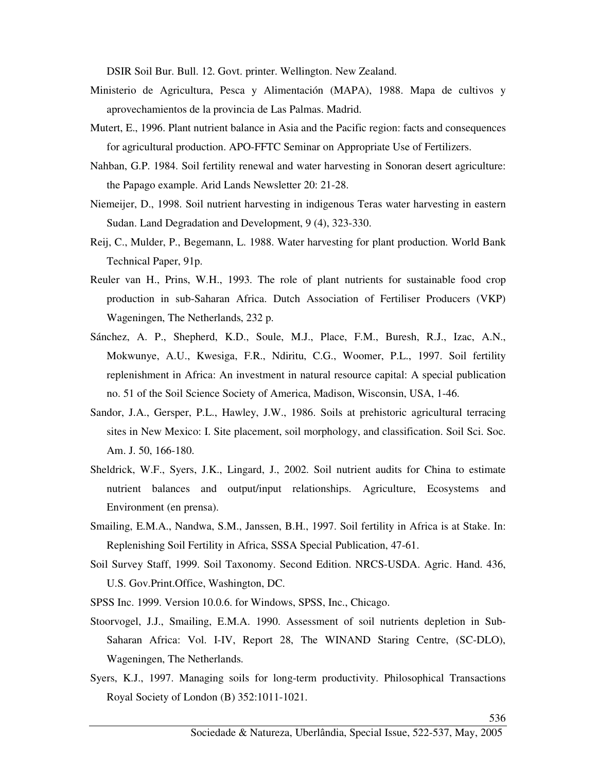DSIR Soil Bur. Bull. 12. Govt. printer. Wellington. New Zealand.

- Ministerio de Agricultura, Pesca y Alimentación (MAPA), 1988. Mapa de cultivos y aprovechamientos de la provincia de Las Palmas. Madrid.
- Mutert, E., 1996. Plant nutrient balance in Asia and the Pacific region: facts and consequences for agricultural production. APO-FFTC Seminar on Appropriate Use of Fertilizers.
- Nahban, G.P. 1984. Soil fertility renewal and water harvesting in Sonoran desert agriculture: the Papago example. Arid Lands Newsletter 20: 21-28.
- Niemeijer, D., 1998. Soil nutrient harvesting in indigenous Teras water harvesting in eastern Sudan. Land Degradation and Development, 9 (4), 323-330.
- Reij, C., Mulder, P., Begemann, L. 1988. Water harvesting for plant production. World Bank Technical Paper, 91p.
- Reuler van H., Prins, W.H., 1993. The role of plant nutrients for sustainable food crop production in sub-Saharan Africa. Dutch Association of Fertiliser Producers (VKP) Wageningen, The Netherlands, 232 p.
- Sánchez, A. P., Shepherd, K.D., Soule, M.J., Place, F.M., Buresh, R.J., Izac, A.N., Mokwunye, A.U., Kwesiga, F.R., Ndiritu, C.G., Woomer, P.L., 1997. Soil fertility replenishment in Africa: An investment in natural resource capital: A special publication no. 51 of the Soil Science Society of America, Madison, Wisconsin, USA, 1-46.
- Sandor, J.A., Gersper, P.L., Hawley, J.W., 1986. Soils at prehistoric agricultural terracing sites in New Mexico: I. Site placement, soil morphology, and classification. Soil Sci. Soc. Am. J. 50, 166-180.
- Sheldrick, W.F., Syers, J.K., Lingard, J., 2002. Soil nutrient audits for China to estimate nutrient balances and output/input relationships. Agriculture, Ecosystems and Environment (en prensa).
- Smailing, E.M.A., Nandwa, S.M., Janssen, B.H., 1997. Soil fertility in Africa is at Stake. In: Replenishing Soil Fertility in Africa, SSSA Special Publication, 47-61.
- Soil Survey Staff, 1999. Soil Taxonomy. Second Edition. NRCS-USDA. Agric. Hand. 436, U.S. Gov.Print.Office, Washington, DC.
- SPSS Inc. 1999. Version 10.0.6. for Windows, SPSS, Inc., Chicago.
- Stoorvogel, J.J., Smailing, E.M.A. 1990. Assessment of soil nutrients depletion in Sub-Saharan Africa: Vol. I-IV, Report 28, The WINAND Staring Centre, (SC-DLO), Wageningen, The Netherlands.
- Syers, K.J., 1997. Managing soils for long-term productivity. Philosophical Transactions Royal Society of London (B) 352:1011-1021.